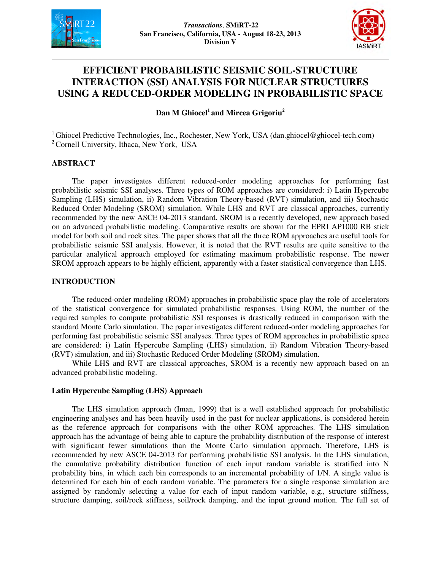



# **EFFICIENT PROBABILISTIC SEISMIC SOIL-STRUCTURE INTERACTION (SSI) ANALYSIS FOR NUCLEAR STRUCTURES USING A REDUCED-ORDER MODELING IN PROBABILISTIC SPACE**

**Dan M Ghiocel<sup>1</sup>and Mircea Grigoriu<sup>2</sup>**

<sup>1</sup> Ghiocel Predictive Technologies, Inc., Rochester, New York, USA (dan.ghiocel@ghiocel-tech.com) **<sup>2</sup>**Cornell University, Ithaca, New York, USA

# **ABSTRACT**

The paper investigates different reduced-order modeling approaches for performing fast probabilistic seismic SSI analyses. Three types of ROM approaches are considered: i) Latin Hypercube Sampling (LHS) simulation, ii) Random Vibration Theory-based (RVT) simulation, and iii) Stochastic Reduced Order Modeling (SROM) simulation. While LHS and RVT are classical approaches, currently recommended by the new ASCE 04-2013 standard, SROM is a recently developed, new approach based on an advanced probabilistic modeling. Comparative results are shown for the EPRI AP1000 RB stick model for both soil and rock sites. The paper shows that all the three ROM approaches are useful tools for probabilistic seismic SSI analysis. However, it is noted that the RVT results are quite sensitive to the particular analytical approach employed for estimating maximum probabilistic response. The newer SROM approach appears to be highly efficient, apparently with a faster statistical convergence than LHS.

## **INTRODUCTION**

The reduced-order modeling (ROM) approaches in probabilistic space play the role of accelerators of the statistical convergence for simulated probabilistic responses. Using ROM, the number of the required samples to compute probabilistic SSI responses is drastically reduced in comparison with the standard Monte Carlo simulation. The paper investigates different reduced-order modeling approaches for performing fast probabilistic seismic SSI analyses. Three types of ROM approaches in probabilistic space are considered: i) Latin Hypercube Sampling (LHS) simulation, ii) Random Vibration Theory-based (RVT) simulation, and iii) Stochastic Reduced Order Modeling (SROM) simulation.

While LHS and RVT are classical approaches, SROM is a recently new approach based on an advanced probabilistic modeling.

#### **Latin Hypercube Sampling (LHS) Approach**

The LHS simulation approach (Iman, 1999) that is a well established approach for probabilistic engineering analyses and has been heavily used in the past for nuclear applications, is considered herein as the reference approach for comparisons with the other ROM approaches. The LHS simulation approach has the advantage of being able to capture the probability distribution of the response of interest with significant fewer simulations than the Monte Carlo simulation approach. Therefore, LHS is recommended by new ASCE 04-2013 for performing probabilistic SSI analysis. In the LHS simulation, the cumulative probability distribution function of each input random variable is stratified into N probability bins, in which each bin corresponds to an incremental probability of 1/N. A single value is determined for each bin of each random variable. The parameters for a single response simulation are assigned by randomly selecting a value for each of input random variable, e.g., structure stiffness, structure damping, soil/rock stiffness, soil/rock damping, and the input ground motion. The full set of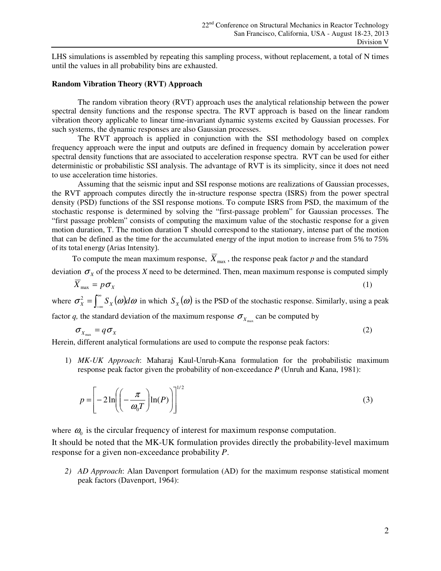LHS simulations is assembled by repeating this sampling process, without replacement, a total of N times until the values in all probability bins are exhausted.

#### **Random Vibration Theory (RVT) Approach**

The random vibration theory (RVT) approach uses the analytical relationship between the power spectral density functions and the response spectra. The RVT approach is based on the linear random vibration theory applicable to linear time-invariant dynamic systems excited by Gaussian processes. For such systems, the dynamic responses are also Gaussian processes.

The RVT approach is applied in conjunction with the SSI methodology based on complex frequency approach were the input and outputs are defined in frequency domain by acceleration power spectral density functions that are associated to acceleration response spectra. RVT can be used for either deterministic or probabilistic SSI analysis. The advantage of RVT is its simplicity, since it does not need to use acceleration time histories.

Assuming that the seismic input and SSI response motions are realizations of Gaussian processes, the RVT approach computes directly the in-structure response spectra (ISRS) from the power spectral density (PSD) functions of the SSI response motions. To compute ISRS from PSD, the maximum of the stochastic response is determined by solving the "first-passage problem" for Gaussian processes. The "first passage problem" consists of computing the maximum value of the stochastic response for a given motion duration, T. The motion duration T should correspond to the stationary, intense part of the motion that can be defined as the time for the accumulated energy of the input motion to increase from 5% to 75% of its total energy (Arias Intensity).

To compute the mean maximum response,  $\overline{X}_{\text{max}}$ , the response peak factor *p* and the standard

deviation  $\sigma_X$  of the process *X* need to be determined. Then, mean maximum response is computed simply

$$
\overline{X}_{\text{max}} = p\sigma_X \tag{1}
$$

where  $\sigma_X^2 = \int_{-\infty}^{\infty} S_X(\omega) d\omega$  $\sigma_x^2 = \int_{-\infty}^{\infty} S_x(\omega) d\omega$  in which  $S_x(\omega)$  is the PSD of the stochastic response. Similarly, using a peak

factor *q*, the standard deviation of the maximum response  $\sigma_{X_{\text{max}}}$  can be computed by

$$
\sigma_{X_{\text{max}}} = q \sigma_X \tag{2}
$$

Herein, different analytical formulations are used to compute the response peak factors:

1) *MK-UK Approach*: Maharaj Kaul-Unruh-Kana formulation for the probabilistic maximum response peak factor given the probability of non-exceedance *P* (Unruh and Kana, 1981):

$$
p = \left[ -2\ln\left(\left(-\frac{\pi}{\omega_0 T}\right)\ln(P)\right) \right]^{1/2} \tag{3}
$$

where  $\omega_0$  is the circular frequency of interest for maximum response computation.

It should be noted that the MK-UK formulation provides directly the probability-level maximum response for a given non-exceedance probability *P*.

*2) AD Approach*: Alan Davenport formulation (AD) for the maximum response statistical moment peak factors (Davenport, 1964):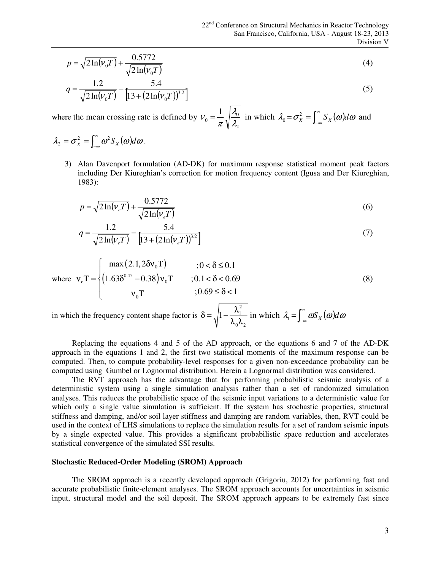$$
p = \sqrt{2\ln(V_0 T)} + \frac{0.5772}{\sqrt{2\ln(V_0 T)}}
$$
\n(4)

$$
q = \frac{1.2}{\sqrt{2\ln(v_0 T)}} - \frac{5.4}{[13 + (2\ln(v_0 T))^{3.2}]}
$$
\n(5)

where the mean crossing rate is defined by 2  $\alpha_0 = \frac{1}{2} \sqrt{\frac{\lambda_0}{2}}$ 1 λ λ  $v_0 = \frac{1}{\pi} \sqrt{\frac{\lambda_0}{\lambda_0}}$  in which  $\lambda_0 = \sigma_x^2 = \int_{-\infty}^{\infty} S_x(\omega) dx$  $\sigma_X^2 = \int_{-\infty}^{\infty} S_X(\omega) d\omega$  and

$$
\lambda_2 = \sigma_{\dot{x}}^2 = \int_{-\infty}^{\infty} \omega^2 S_x(\omega) d\omega.
$$

3) Alan Davenport formulation (AD-DK) for maximum response statistical moment peak factors including Der Kiureghian's correction for motion frequency content (Igusa and Der Kiureghian, 1983):

$$
p = \sqrt{2\ln(V_e)} + \frac{0.5772}{\sqrt{2\ln(V_e)}}\tag{6}
$$

$$
q = \frac{1.2}{\sqrt{2\ln(\nu_e T)}} - \frac{5.4}{[13 + (2\ln(\nu_e T))^{3.2}]}
$$
(7)

where 
$$
\mathbf{v}_{e} \mathbf{T} = \begin{cases} \max(2.1, 2\delta \mathbf{v}_{0} \mathbf{T}) & ; 0 < \delta \le 0.1 \\ (1.63 \delta^{0.45} - 0.38) \mathbf{v}_{0} \mathbf{T} & ; 0.1 < \delta < 0.69 \\ \mathbf{v}_{0} \mathbf{T} & ; 0.69 \le \delta < 1 \end{cases}
$$
 (8)

in which the frequency content shape factor is 2 1  $0^{\prime}$ <sup> $\prime$ </sup>2 1  $\delta = \sqrt{1 - \frac{\lambda}{2}}$  $\frac{\lambda_1^2}{\lambda_0 \lambda_2}$  in which  $\lambda_1 = \int_{-\infty}^{\infty} \omega S_X(\omega) d\omega$  $\int_{-\infty}^{\infty}$  *aS* <sub>x</sub> (*ω*)*d ω* 

Replacing the equations 4 and 5 of the AD approach, or the equations 6 and 7 of the AD-DK approach in the equations 1 and 2, the first two statistical moments of the maximum response can be computed. Then, to compute probability-level responses for a given non-exceedance probability can be computed using Gumbel or Lognormal distribution. Herein a Lognormal distribution was considered.

The RVT approach has the advantage that for performing probabilistic seismic analysis of a deterministic system using a single simulation analysis rather than a set of randomized simulation analyses. This reduces the probabilistic space of the seismic input variations to a deterministic value for which only a single value simulation is sufficient. If the system has stochastic properties, structural stiffness and damping, and/or soil layer stiffness and damping are random variables, then, RVT could be used in the context of LHS simulations to replace the simulation results for a set of random seismic inputs by a single expected value. This provides a significant probabilistic space reduction and accelerates statistical convergence of the simulated SSI results.

#### **Stochastic Reduced-Order Modeling (SROM) Approach**

The SROM approach is a recently developed approach (Grigoriu, 2012) for performing fast and accurate probabilistic finite-element analyses. The SROM approach accounts for uncertainties in seismic input, structural model and the soil deposit. The SROM approach appears to be extremely fast since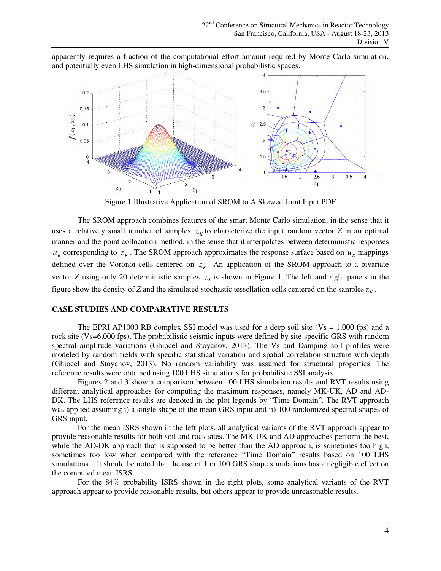apparently requires a fraction of the computational effort amount required by Monte Carlo simulation, and potentially even LHS simulation in high-dimensional probabilistic spaces.



Figure 1 Illustrative Application of SROM to A Skewed Joint Input PDF

The SROM approach combines features of the smart Monte Carlo simulation, in the sense that it uses a relatively small number of samples  $z_k$  to characterize the input random vector *Z* in an optimal manner and the point collocation method, in the sense that it interpolates between deterministic responses  $u_K$  corresponding to  $z_K$ . The SROM approach approximates the response surface based on  $u_K$  mappings defined over the Voronoi cells centered on  $z<sub>K</sub>$ . An application of the SROM approach to a bivariate vector Z using only 20 deterministic samples  $z<sub>K</sub>$  is shown in Figure 1. The left and right panels in the figure show the density of *Z* and the simulated stochastic tessellation cells centered on the samples  $z<sub>K</sub>$ .

# **CASE STUDIES AND COMPARATIVE RESULTS**

The EPRI AP1000 RB complex SSI model was used for a deep soil site ( $Vs = 1,000$  fps) and a rock site (Vs=6,000 fps). The probabilistic seismic inputs were defined by site-specific GRS with random spectral amplitude variations (Ghiocel and Stoyanov, 2013). The Vs and Damping soil profiles were modeled by random fields with specific statistical variation and spatial correlation structure with depth (Ghiocel and Stoyanov, 2013). No random variability was assumed for structural properties. The reference results were obtained using 100 LHS simulations for probabilistic SSI analysis.

 Figures 2 and 3 show a comparison between 100 LHS simulation results and RVT results using different analytical approaches for computing the maximum responses, namely MK-UK, AD and AD-DK. The LHS reference results are denoted in the plot legends by "Time Domain". The RVT approach was applied assuming i) a single shape of the mean GRS input and ii) 100 randomized spectral shapes of GRS input.

 For the mean ISRS shown in the left plots, all analytical variants of the RVT approach appear to provide reasonable results for both soil and rock sites. The MK-UK and AD approaches perform the best, while the AD-DK approach that is supposed to be better than the AD approach, is sometimes too high, sometimes too low when compared with the reference "Time Domain" results based on 100 LHS simulations. It should be noted that the use of 1 or 100 GRS shape simulations has a negligible effect on the computed mean ISRS.

 For the 84% probability ISRS shown in the right plots, some analytical variants of the RVT approach appear to provide reasonable results, but others appear to provide unreasonable results.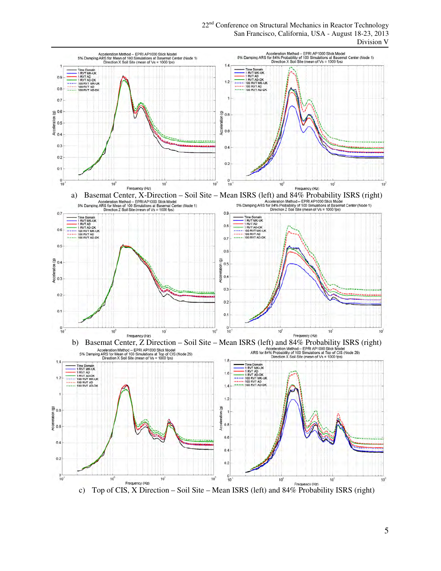22<sup>nd</sup> Conference on Structural Mechanics in Reactor Technology San Francisco, California, USA - August 18-23, 2013 Division V



5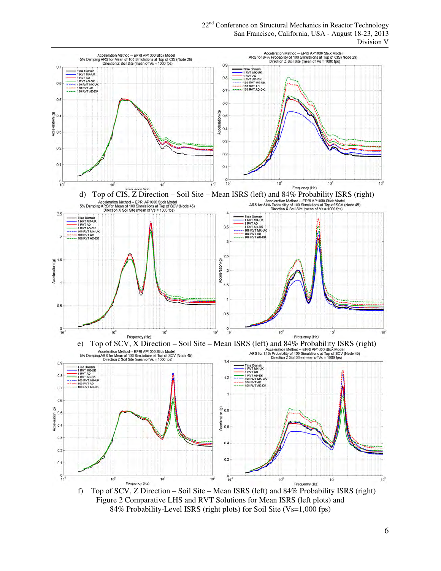



f) Top of SCV, Z Direction – Soil Site – Mean ISRS (left) and 84% Probability ISRS (right) Figure 2 Comparative LHS and RVT Solutions for Mean ISRS (left plots) and 84% Probability-Level ISRS (right plots) for Soil Site (Vs=1,000 fps)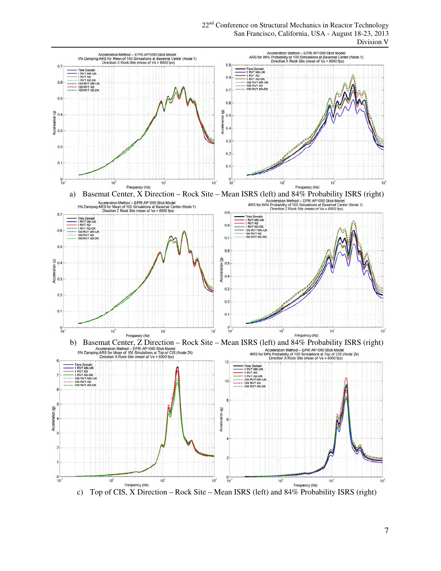22<sup>nd</sup> Conference on Structural Mechanics in Reactor Technology San Francisco, California, USA - August 18-23, 2013 Division V



c) Top of CIS, X Direction – Rock Site – Mean ISRS (left) and 84% Probability ISRS (right)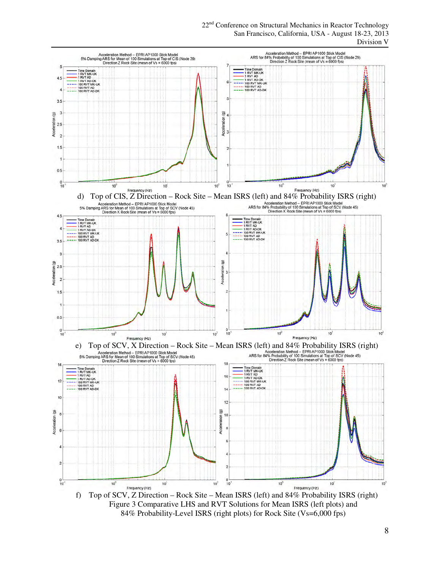22<sup>nd</sup> Conference on Structural Mechanics in Reactor Technology San Francisco, California, USA - August 18-23, 2013 Division V



Figure 3 Comparative LHS and RVT Solutions for Mean ISRS (left plots) and 84% Probability-Level ISRS (right plots) for Rock Site (Vs=6,000 fps)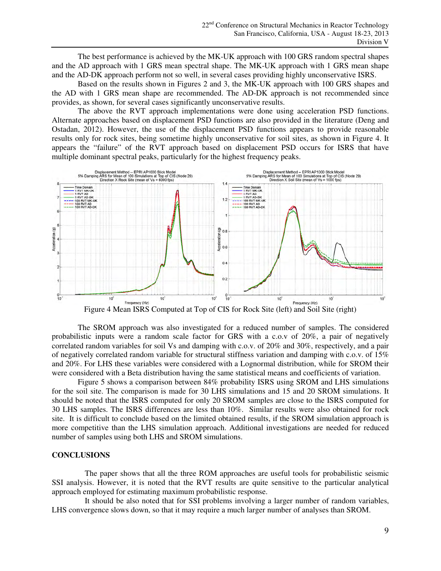The best performance is achieved by the MK-UK approach with 100 GRS random spectral shapes and the AD approach with 1 GRS mean spectral shape. The MK-UK approach with 1 GRS mean shape and the AD-DK approach perform not so well, in several cases providing highly unconservative ISRS.

 Based on the results shown in Figures 2 and 3, the MK-UK approach with 100 GRS shapes and the AD with 1 GRS mean shape are recommended. The AD-DK approach is not recommended since provides, as shown, for several cases significantly unconservative results.

 The above the RVT approach implementations were done using acceleration PSD functions. Alternate approaches based on displacement PSD functions are also provided in the literature (Deng and Ostadan, 2012). However, the use of the displacement PSD functions appears to provide reasonable results only for rock sites, being sometime highly unconservative for soil sites, as shown in Figure 4. It appears the "failure" of the RVT approach based on displacement PSD occurs for ISRS that have multiple dominant spectral peaks, particularly for the highest frequency peaks.



Figure 4 Mean ISRS Computed at Top of CIS for Rock Site (left) and Soil Site (right)

The SROM approach was also investigated for a reduced number of samples. The considered probabilistic inputs were a random scale factor for GRS with a c.o.v of 20%, a pair of negatively correlated random variables for soil Vs and damping with c.o.v. of 20% and 30%, respectively, and a pair of negatively correlated random variable for structural stiffness variation and damping with c.o.v. of 15% and 20%. For LHS these variables were considered with a Lognormal distribution, while for SROM their were considered with a Beta distribution having the same statistical means and coefficients of variation.

Figure 5 shows a comparison between 84% probability ISRS using SROM and LHS simulations for the soil site. The comparison is made for 30 LHS simulations and 15 and 20 SROM simulations. It should be noted that the ISRS computed for only 20 SROM samples are close to the ISRS computed for 30 LHS samples. The ISRS differences are less than 10%. Similar results were also obtained for rock site. It is difficult to conclude based on the limited obtained results, if the SROM simulation approach is more competitive than the LHS simulation approach. Additional investigations are needed for reduced number of samples using both LHS and SROM simulations.

#### **CONCLUSIONS**

 The paper shows that all the three ROM approaches are useful tools for probabilistic seismic SSI analysis. However, it is noted that the RVT results are quite sensitive to the particular analytical approach employed for estimating maximum probabilistic response.

 It should be also noted that for SSI problems involving a larger number of random variables, LHS convergence slows down, so that it may require a much larger number of analyses than SROM.